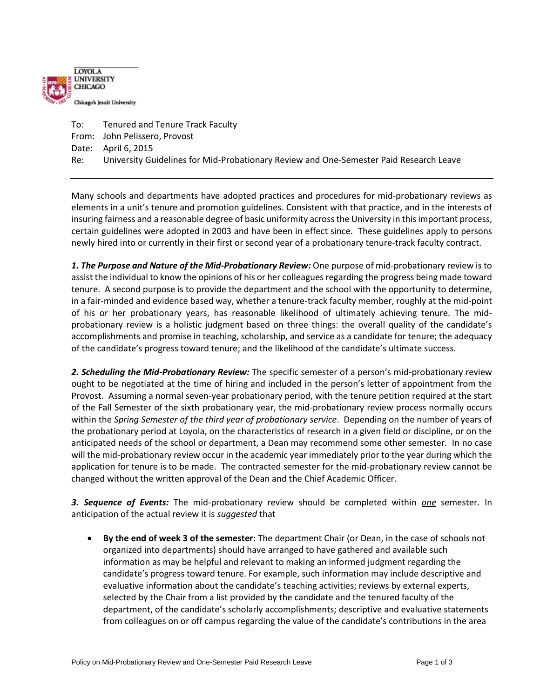

To: Tenured and Tenure Track Faculty From: John Pelissero, Provost Date: April 6, 2015 Re: University Guidelines for Mid-Probationary Review and One-Semester Paid Research Leave

Many schools and departments have adopted practices and procedures for mid-probationary reviews as elements in a unit's tenure and promotion guidelines. Consistent with that practice, and in the interests of insuring fairness and a reasonable degree of basic uniformity across the University in this important process, certain guidelines were adopted in 2003 and have been in effect since. These guidelines apply to persons newly hired into or currently in their first or second year of a probationary tenure-track faculty contract.

*1. The Purpose and Nature of the Mid-Probationary Review:* One purpose of mid-probationary review is to assist the individual to know the opinions of his or her colleagues regarding the progress being made toward tenure. A second purpose is to provide the department and the school with the opportunity to determine, in a fair-minded and evidence based way, whether a tenure-track faculty member, roughly at the mid-point of his or her probationary years, has reasonable likelihood of ultimately achieving tenure. The midprobationary review is a holistic judgment based on three things: the overall quality of the candidate's accomplishments and promise in teaching, scholarship, and service as a candidate for tenure; the adequacy of the candidate's progress toward tenure; and the likelihood of the candidate's ultimate success.

*2. Scheduling the Mid-Probationary Review:* The specific semester of a person's mid-probationary review ought to be negotiated at the time of hiring and included in the person's letter of appointment from the Provost. Assuming a normal seven-year probationary period, with the tenure petition required at the start of the Fall Semester of the sixth probationary year, the mid-probationary review process normally occurs within the *Spring Semester of the third year of probationary service*. Depending on the number of years of the probationary period at Loyola, on the characteristics of research in a given field or discipline, or on the anticipated needs of the school or department, a Dean may recommend some other semester. In no case will the mid-probationary review occur in the academic year immediately prior to the year during which the application for tenure is to be made. The contracted semester for the mid-probationary review cannot be changed without the written approval of the Dean and the Chief Academic Officer.

*3. Sequence of Events:* The mid-probationary review should be completed within *one* semester. In anticipation of the actual review it is *suggested* that

 **By the end of week 3 of the semester**: The department Chair (or Dean, in the case of schools not organized into departments) should have arranged to have gathered and available such information as may be helpful and relevant to making an informed judgment regarding the candidate's progress toward tenure. For example, such information may include descriptive and evaluative information about the candidate's teaching activities; reviews by external experts, selected by the Chair from a list provided by the candidate and the tenured faculty of the department, of the candidate's scholarly accomplishments; descriptive and evaluative statements from colleagues on or off campus regarding the value of the candidate's contributions in the area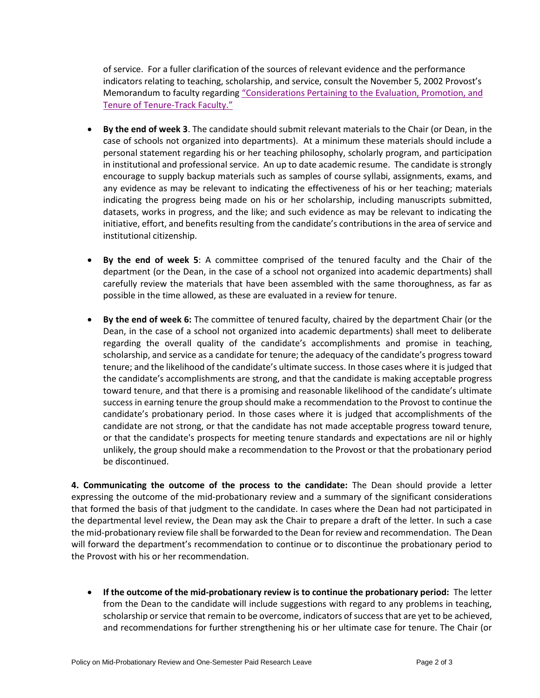of service. For a fuller clarification of the sources of relevant evidence and the performance indicators relating to teaching, scholarship, and service, consult the November 5, 2002 Provost's Memorandum to faculty regarding "Considerations Pertaining to the Evaluation, Promotion, and [Tenure of Tenure-Track Faculty](http://luc.edu/media/lucedu/academicaffairs/pdfs/Eval_P&T_of_TT_Faculty.pdf)."

- **By the end of week 3**. The candidate should submit relevant materials to the Chair (or Dean, in the case of schools not organized into departments). At a minimum these materials should include a personal statement regarding his or her teaching philosophy, scholarly program, and participation in institutional and professional service. An up to date academic resume. The candidate is strongly encourage to supply backup materials such as samples of course syllabi, assignments, exams, and any evidence as may be relevant to indicating the effectiveness of his or her teaching; materials indicating the progress being made on his or her scholarship, including manuscripts submitted, datasets, works in progress, and the like; and such evidence as may be relevant to indicating the initiative, effort, and benefits resulting from the candidate's contributions in the area of service and institutional citizenship.
- **By the end of week 5**: A committee comprised of the tenured faculty and the Chair of the department (or the Dean, in the case of a school not organized into academic departments) shall carefully review the materials that have been assembled with the same thoroughness, as far as possible in the time allowed, as these are evaluated in a review for tenure.
- **By the end of week 6:** The committee of tenured faculty, chaired by the department Chair (or the Dean, in the case of a school not organized into academic departments) shall meet to deliberate regarding the overall quality of the candidate's accomplishments and promise in teaching, scholarship, and service as a candidate for tenure; the adequacy of the candidate's progress toward tenure; and the likelihood of the candidate's ultimate success. In those cases where it is judged that the candidate's accomplishments are strong, and that the candidate is making acceptable progress toward tenure, and that there is a promising and reasonable likelihood of the candidate's ultimate success in earning tenure the group should make a recommendation to the Provost to continue the candidate's probationary period. In those cases where it is judged that accomplishments of the candidate are not strong, or that the candidate has not made acceptable progress toward tenure, or that the candidate's prospects for meeting tenure standards and expectations are nil or highly unlikely, the group should make a recommendation to the Provost or that the probationary period be discontinued.

**4. Communicating the outcome of the process to the candidate:** The Dean should provide a letter expressing the outcome of the mid-probationary review and a summary of the significant considerations that formed the basis of that judgment to the candidate. In cases where the Dean had not participated in the departmental level review, the Dean may ask the Chair to prepare a draft of the letter. In such a case the mid-probationary review file shall be forwarded to the Dean for review and recommendation.The Dean will forward the department's recommendation to continue or to discontinue the probationary period to the Provost with his or her recommendation.

 **If the outcome of the mid-probationary review is to continue the probationary period:** The letter from the Dean to the candidate will include suggestions with regard to any problems in teaching, scholarship or service that remain to be overcome, indicators of success that are yet to be achieved, and recommendations for further strengthening his or her ultimate case for tenure. The Chair (or